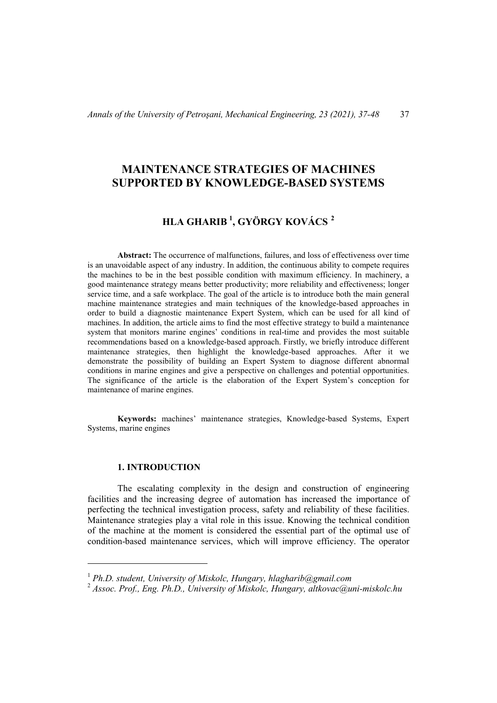# **MAINTENANCE STRATEGIES OF MACHINES SUPPORTED BY KNOWLEDGE-BASED SYSTEMS**

# **HLA GHARIB [1](#page-0-0) , GYÖRGY KOVÁCS [2](#page-0-1)**

**Abstract:** The occurrence of malfunctions, failures, and loss of effectiveness over time is an unavoidable aspect of any industry. In addition, the continuous ability to compete requires the machines to be in the best possible condition with maximum efficiency. In machinery, a good maintenance strategy means better productivity; more reliability and effectiveness; longer service time, and a safe workplace. The goal of the article is to introduce both the main general machine maintenance strategies and main techniques of the knowledge-based approaches in order to build a diagnostic maintenance Expert System, which can be used for all kind of machines. In addition, the article aims to find the most effective strategy to build a maintenance system that monitors marine engines' conditions in real-time and provides the most suitable recommendations based on a knowledge-based approach. Firstly, we briefly introduce different maintenance strategies, then highlight the knowledge-based approaches. After it we demonstrate the possibility of building an Expert System to diagnose different abnormal conditions in marine engines and give a perspective on challenges and potential opportunities. The significance of the article is the elaboration of the Expert System's conception for maintenance of marine engines.

**Keywords:** machines' maintenance strategies, Knowledge-based Systems, Expert Systems, marine engines

# **1. INTRODUCTION**

 $\overline{a}$ 

The escalating complexity in the design and construction of engineering facilities and the increasing degree of automation has increased the importance of perfecting the technical investigation process, safety and reliability of these facilities. Maintenance strategies play a vital role in this issue. Knowing the technical condition of the machine at the moment is considered the essential part of the optimal use of condition-based maintenance services, which will improve efficiency. The operator

<sup>1</sup> *Ph.D. student, University of Miskolc, Hungary, [hlagharib@gmail.com](mailto:hlagharib@gmail.com)*

<span id="page-0-1"></span><span id="page-0-0"></span><sup>2</sup> *Assoc. Prof., Eng. Ph.D., University of Miskolc, Hungary, altkovac@uni-miskolc.hu*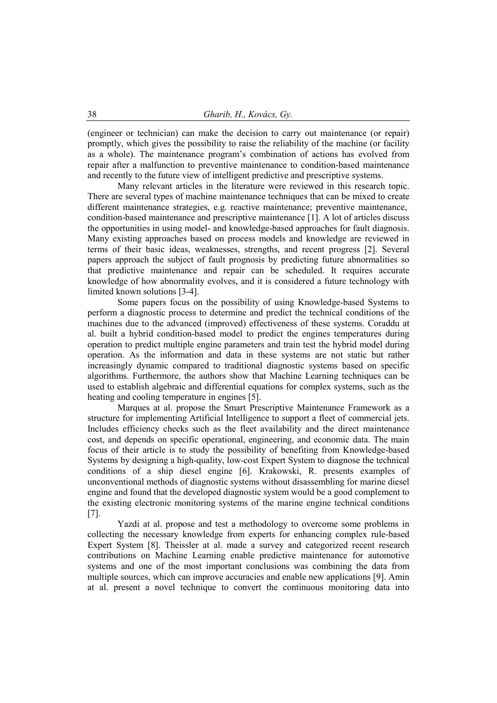(engineer or technician) can make the decision to carry out maintenance (or repair) promptly, which gives the possibility to raise the reliability of the machine (or facility as a whole). The maintenance program's combination of actions has evolved from repair after a malfunction to preventive maintenance to condition-based maintenance and recently to the future view of intelligent predictive and prescriptive systems.

Many relevant articles in the literature were reviewed in this research topic. There are several types of machine maintenance techniques that can be mixed to create different maintenance strategies, e.g. reactive maintenance; preventive maintenance, condition-based maintenance and prescriptive maintenance [1]. A lot of articles discuss the opportunities in using model- and knowledge-based approaches for fault diagnosis. Many existing approaches based on process models and knowledge are reviewed in terms of their basic ideas, weaknesses, strengths, and recent progress [2]. Several papers approach the subject of fault prognosis by predicting future abnormalities so that predictive maintenance and repair can be scheduled. It requires accurate knowledge of how abnormality evolves, and it is considered a future technology with limited known solutions [3-4].

Some papers focus on the possibility of using Knowledge-based Systems to perform a diagnostic process to determine and predict the technical conditions of the machines due to the advanced (improved) effectiveness of these systems. Coraddu at al. built a hybrid condition-based model to predict the engines temperatures during operation to predict multiple engine parameters and train test the hybrid model during operation. As the information and data in these systems are not static but rather increasingly dynamic compared to traditional diagnostic systems based on specific algorithms. Furthermore, the authors show that Machine Learning techniques can be used to establish algebraic and differential equations for complex systems, such as the heating and cooling temperature in engines [5].

Marques at al. propose the Smart Prescriptive Maintenance Framework as a structure for implementing Artificial Intelligence to support a fleet of commercial jets. Includes efficiency checks such as the fleet availability and the direct maintenance cost, and depends on specific operational, engineering, and economic data. The main focus of their article is to study the possibility of benefiting from Knowledge-based Systems by designing a high-quality, low-cost Expert System to diagnose the technical conditions of a ship diesel engine [6]. Krakowski, R. presents examples of unconventional methods of diagnostic systems without disassembling for marine diesel engine and found that the developed diagnostic system would be a good complement to the existing electronic monitoring systems of the marine engine technical conditions [7].

Yazdi at al. propose and test a methodology to overcome some problems in collecting the necessary knowledge from experts for enhancing complex rule-based Expert System [8]. Theissler at al. made a survey and categorized recent research contributions on Machine Learning enable predictive maintenance for automotive systems and one of the most important conclusions was combining the data from multiple sources, which can improve accuracies and enable new applications [9]. Amin at al. present a novel technique to convert the continuous monitoring data into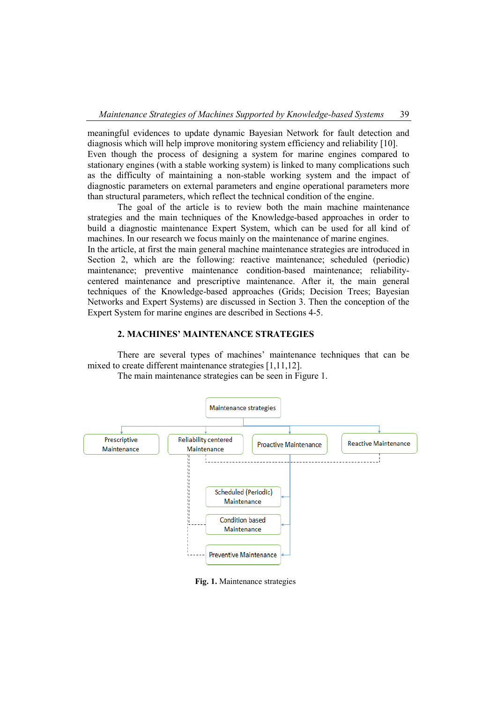meaningful evidences to update dynamic Bayesian Network for fault detection and diagnosis which will help improve monitoring system efficiency and reliability [10]. Even though the process of designing a system for marine engines compared to stationary engines (with a stable working system) is linked to many complications such as the difficulty of maintaining a non-stable working system and the impact of diagnostic parameters on external parameters and engine operational parameters more than structural parameters, which reflect the technical condition of the engine.

The goal of the article is to review both the main machine maintenance strategies and the main techniques of the Knowledge-based approaches in order to build a diagnostic maintenance Expert System, which can be used for all kind of machines. In our research we focus mainly on the maintenance of marine engines.

In the article, at first the main general machine maintenance strategies are introduced in Section 2, which are the following: reactive maintenance; scheduled (periodic) maintenance; preventive maintenance condition-based maintenance; reliabilitycentered maintenance and prescriptive maintenance. After it, the main general techniques of the Knowledge-based approaches (Grids; Decision Trees; Bayesian Networks and Expert Systems) are discussed in Section 3. Then the conception of the Expert System for marine engines are described in Sections 4-5.

# **2. MACHINES' MAINTENANCE STRATEGIES**

There are several types of machines' maintenance techniques that can be mixed to create different maintenance strategies [1,11,12].

The main maintenance strategies can be seen in Figure 1.



**Fig. 1.** Maintenance strategies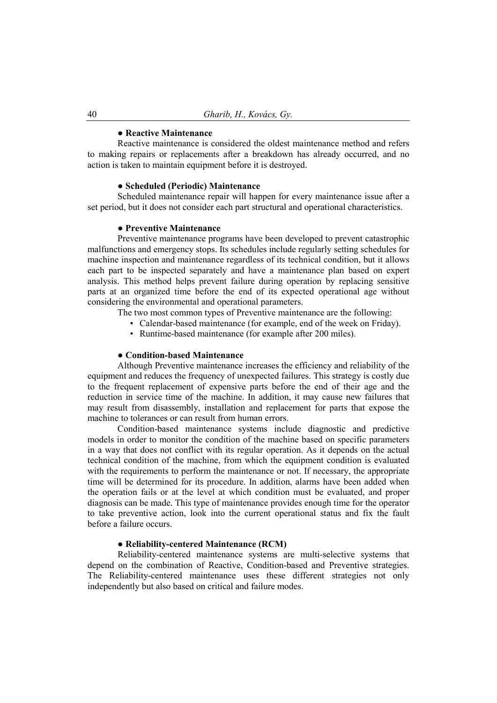#### **● Reactive Maintenance**

Reactive maintenance is considered the oldest maintenance method and refers to making repairs or replacements after a breakdown has already occurred, and no action is taken to maintain equipment before it is destroyed.

#### **● Scheduled (Periodic) Maintenance**

Scheduled maintenance repair will happen for every maintenance issue after a set period, but it does not consider each part structural and operational characteristics.

### **● Preventive Maintenance**

Preventive maintenance programs have been developed to prevent catastrophic malfunctions and emergency stops. Its schedules include regularly setting schedules for machine inspection and maintenance regardless of its technical condition, but it allows each part to be inspected separately and have a maintenance plan based on expert analysis. This method helps prevent failure during operation by replacing sensitive parts at an organized time before the end of its expected operational age without considering the environmental and operational parameters.

The two most common types of Preventive maintenance are the following:

- Calendar-based maintenance (for example, end of the week on Friday).
- Runtime-based maintenance (for example after 200 miles).

### **● Condition-based Maintenance**

Although Preventive maintenance increases the efficiency and reliability of the equipment and reduces the frequency of unexpected failures. This strategy is costly due to the frequent replacement of expensive parts before the end of their age and the reduction in service time of the machine. In addition, it may cause new failures that may result from disassembly, installation and replacement for parts that expose the machine to tolerances or can result from human errors.

Condition-based maintenance systems include diagnostic and predictive models in order to monitor the condition of the machine based on specific parameters in a way that does not conflict with its regular operation. As it depends on the actual technical condition of the machine, from which the equipment condition is evaluated with the requirements to perform the maintenance or not. If necessary, the appropriate time will be determined for its procedure. In addition, alarms have been added when the operation fails or at the level at which condition must be evaluated, and proper diagnosis can be made. This type of maintenance provides enough time for the operator to take preventive action, look into the current operational status and fix the fault before a failure occurs.

### **● Reliability-centered Maintenance (RCM)**

Reliability-centered maintenance systems are multi-selective systems that depend on the combination of Reactive, Condition-based and Preventive strategies. The Reliability-centered maintenance uses these different strategies not only independently but also based on critical and failure modes.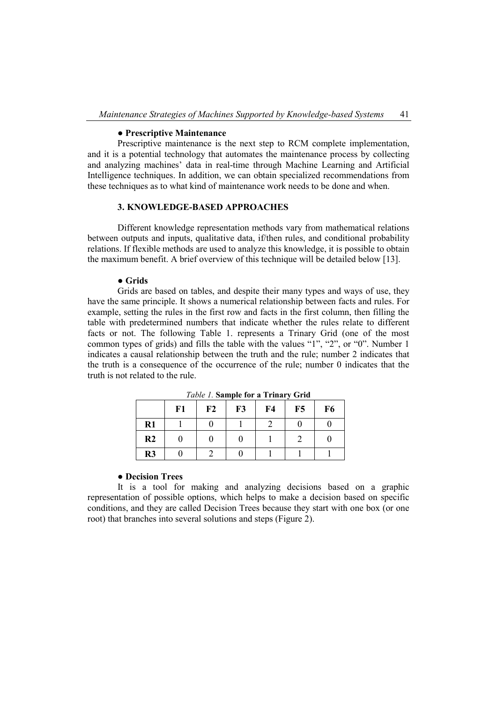### **● Prescriptive Maintenance**

Prescriptive maintenance is the next step to RCM complete implementation, and it is a potential technology that automates the maintenance process by collecting and analyzing machines' data in real-time through Machine Learning and Artificial Intelligence techniques. In addition, we can obtain specialized recommendations from these techniques as to what kind of maintenance work needs to be done and when.

# **3. KNOWLEDGE-BASED APPROACHES**

Different knowledge representation methods vary from mathematical relations between outputs and inputs, qualitative data, if/then rules, and conditional probability relations. If flexible methods are used to analyze this knowledge, it is possible to obtain the maximum benefit. A brief overview of this technique will be detailed below [13].

#### **● Grids**

Grids are based on tables, and despite their many types and ways of use, they have the same principle. It shows a numerical relationship between facts and rules. For example, setting the rules in the first row and facts in the first column, then filling the table with predetermined numbers that indicate whether the rules relate to different facts or not. The following Table 1. represents a Trinary Grid (one of the most common types of grids) and fills the table with the values "1", "2", or "0". Number 1 indicates a causal relationship between the truth and the rule; number 2 indicates that the truth is a consequence of the occurrence of the rule; number 0 indicates that the truth is not related to the rule.

|                | F1 | F2 | $\overline{\phantom{0}}$<br>F3 | F <sub>4</sub> | F5 | F <sub>6</sub> |
|----------------|----|----|--------------------------------|----------------|----|----------------|
| $R1$           |    |    |                                |                |    |                |
| R <sub>2</sub> |    |    |                                |                |    |                |
| R3             |    |    |                                |                |    |                |

*Table 1.* **Sample for a Trinary Grid**

#### **● Decision Trees**

It is a tool for making and analyzing decisions based on a graphic representation of possible options, which helps to make a decision based on specific conditions, and they are called Decision Trees because they start with one box (or one root) that branches into several solutions and steps (Figure 2).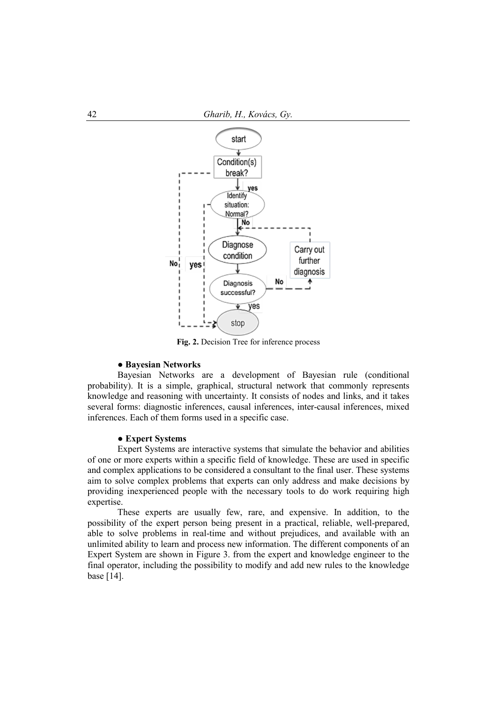

**Fig. 2.** Decision Tree for inference process

### **● Bayesian Networks**

Bayesian Networks are a development of Bayesian rule (conditional probability). It is a simple, graphical, structural network that commonly represents knowledge and reasoning with uncertainty. It consists of nodes and links, and it takes several forms: diagnostic inferences, causal inferences, inter-causal inferences, mixed inferences. Each of them forms used in a specific case.

# **● Expert Systems**

Expert Systems are interactive systems that simulate the behavior and abilities of one or more experts within a specific field of knowledge. These are used in specific and complex applications to be considered a consultant to the final user. These systems aim to solve complex problems that experts can only address and make decisions by providing inexperienced people with the necessary tools to do work requiring high expertise.

These experts are usually few, rare, and expensive. In addition, to the possibility of the expert person being present in a practical, reliable, well-prepared, able to solve problems in real-time and without prejudices, and available with an unlimited ability to learn and process new information. The different components of an Expert System are shown in Figure 3. from the expert and knowledge engineer to the final operator, including the possibility to modify and add new rules to the knowledge base [14].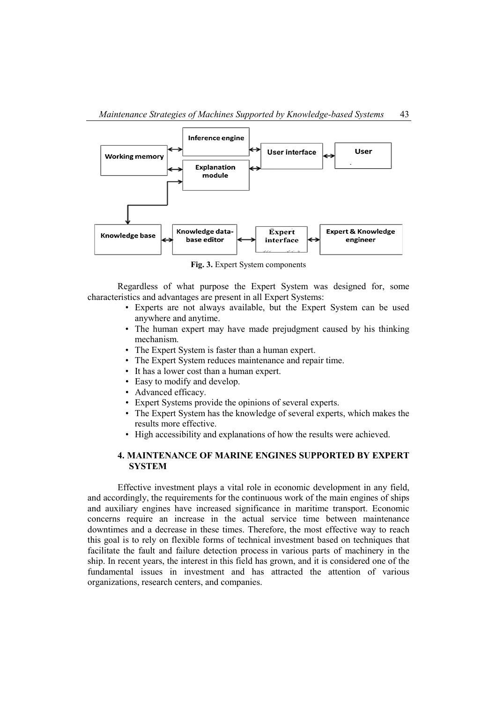

**Fig. 3.** Expert System components

Regardless of what purpose the Expert System was designed for, some characteristics and advantages are present in all Expert Systems:

- Experts are not always available, but the Expert System can be used anywhere and anytime.
- The human expert may have made prejudgment caused by his thinking mechanism.
- The Expert System is faster than a human expert.
- The Expert System reduces maintenance and repair time.
- It has a lower cost than a human expert.
- Easy to modify and develop.
- Advanced efficacy.
- Expert Systems provide the opinions of several experts.
- The Expert System has the knowledge of several experts, which makes the results more effective.
- High accessibility and explanations of how the results were achieved.

# **4. MAINTENANCE OF MARINE ENGINES SUPPORTED BY EXPERT SYSTEM**

Effective investment plays a vital role in economic development in any field, and accordingly, the requirements for the continuous work of the main engines of ships and auxiliary engines have increased significance in maritime transport. Economic concerns require an increase in the actual service time between maintenance downtimes and a decrease in these times. Therefore, the most effective way to reach this goal is to rely on flexible forms of technical investment based on techniques that facilitate the fault and failure detection process in various parts of machinery in the ship. In recent years, the interest in this field has grown, and it is considered one of the fundamental issues in investment and has attracted the attention of various organizations, research centers, and companies.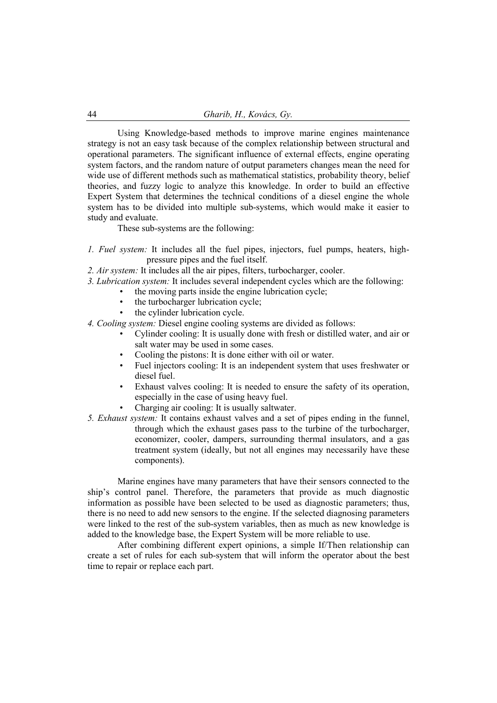Using Knowledge-based methods to improve marine engines maintenance strategy is not an easy task because of the complex relationship between structural and operational parameters. The significant influence of external effects, engine operating system factors, and the random nature of output parameters changes mean the need for wide use of different methods such as mathematical statistics, probability theory, belief theories, and fuzzy logic to analyze this knowledge. In order to build an effective Expert System that determines the technical conditions of a diesel engine the whole system has to be divided into multiple sub-systems, which would make it easier to study and evaluate.

These sub-systems are the following:

- *1. Fuel system:* It includes all the fuel pipes, injectors, fuel pumps, heaters, highpressure pipes and the fuel itself.
- *2. Air system:* It includes all the air pipes, filters, turbocharger, cooler.
- *3. Lubrication system:* It includes several independent cycles which are the following:
	- the moving parts inside the engine lubrication cycle;
	- the turbocharger lubrication cycle;
	- the cylinder lubrication cycle.
- *4. Cooling system:* Diesel engine cooling systems are divided as follows:
	- Cylinder cooling: It is usually done with fresh or distilled water, and air or salt water may be used in some cases.
	- Cooling the pistons: It is done either with oil or water.
	- Fuel injectors cooling: It is an independent system that uses freshwater or diesel fuel.
	- Exhaust valves cooling: It is needed to ensure the safety of its operation, especially in the case of using heavy fuel.
	- Charging air cooling: It is usually saltwater.
- *5. Exhaust system:* It contains exhaust valves and a set of pipes ending in the funnel, through which the exhaust gases pass to the turbine of the turbocharger, economizer, cooler, dampers, surrounding thermal insulators, and a gas treatment system (ideally, but not all engines may necessarily have these components).

Marine engines have many parameters that have their sensors connected to the ship's control panel. Therefore, the parameters that provide as much diagnostic information as possible have been selected to be used as diagnostic parameters; thus, there is no need to add new sensors to the engine. If the selected diagnosing parameters were linked to the rest of the sub-system variables, then as much as new knowledge is added to the knowledge base, the Expert System will be more reliable to use.

After combining different expert opinions, a simple If/Then relationship can create a set of rules for each sub-system that will inform the operator about the best time to repair or replace each part.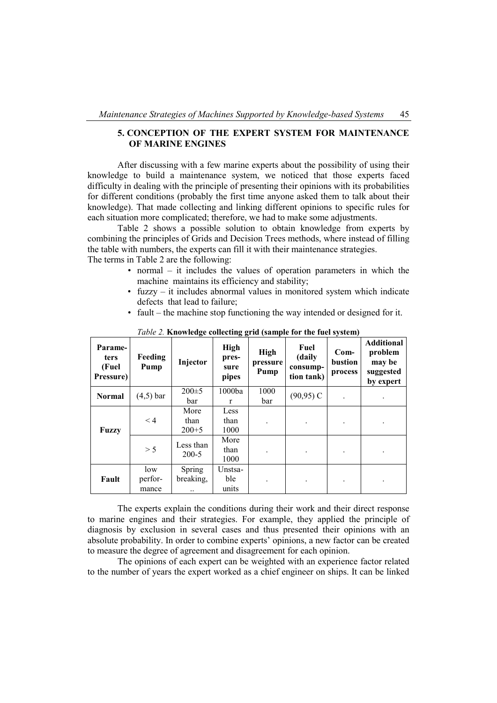# **5. CONCEPTION OF THE EXPERT SYSTEM FOR MAINTENANCE OF MARINE ENGINES**

After discussing with a few marine experts about the possibility of using their knowledge to build a maintenance system, we noticed that those experts faced difficulty in dealing with the principle of presenting their opinions with its probabilities for different conditions (probably the first time anyone asked them to talk about their knowledge). That made collecting and linking different opinions to specific rules for each situation more complicated; therefore, we had to make some adjustments.

Table 2 shows a possible solution to obtain knowledge from experts by combining the principles of Grids and Decision Trees methods, where instead of filling the table with numbers, the experts can fill it with their maintenance strategies. The terms in Table 2 are the following:

- normal it includes the values of operation parameters in which the machine maintains its efficiency and stability;
- fuzzy it includes abnormal values in monitored system which indicate defects that lead to failure;
- fault the machine stop functioning the way intended or designed for it.

| Parame-<br><b>ters</b><br>(Fuel<br>Pressure) | Feeding<br>Pump | Injector    | High<br>pres-<br>sure<br>pipes | <b>High</b><br>pressure<br>Pump | Fuel<br>(daily<br>consump-<br>tion tank) | $Com-$<br>bustion<br>process | <b>Additional</b><br>problem<br>may be<br>suggested<br>by expert |  |
|----------------------------------------------|-----------------|-------------|--------------------------------|---------------------------------|------------------------------------------|------------------------------|------------------------------------------------------------------|--|
| <b>Normal</b>                                | $(4,5)$ bar     | $200 \pm 5$ | 1000ba                         | 1000                            | $(90, 95)$ C                             |                              |                                                                  |  |
|                                              |                 | bar         | r                              | bar                             |                                          |                              | ٠                                                                |  |
|                                              |                 | More        | Less                           |                                 |                                          |                              |                                                                  |  |
| Fuzzy                                        | < 4             | than        | than                           |                                 |                                          |                              | ٠                                                                |  |
|                                              |                 | $200 + 5$   | 1000                           |                                 |                                          |                              |                                                                  |  |
|                                              | > 5             | Less than   | More<br>than                   |                                 | ٠                                        |                              | ٠                                                                |  |
|                                              |                 | $200 - 5$   | 1000                           |                                 |                                          |                              |                                                                  |  |
|                                              | low             | Spring      | Unstsa-                        |                                 |                                          |                              |                                                                  |  |
| Fault                                        | perfor-         | breaking,   | ble.                           |                                 | ٠                                        |                              | $\bullet$                                                        |  |
|                                              | mance           |             | units                          |                                 |                                          |                              |                                                                  |  |

*Table 2.* **Knowledge collecting grid (sample for the fuel system)** 

The experts explain the conditions during their work and their direct response to marine engines and their strategies. For example, they applied the principle of diagnosis by exclusion in several cases and thus presented their opinions with an absolute probability. In order to combine experts' opinions, a new factor can be created to measure the degree of agreement and disagreement for each opinion.

The opinions of each expert can be weighted with an experience factor related to the number of years the expert worked as a chief engineer on ships. It can be linked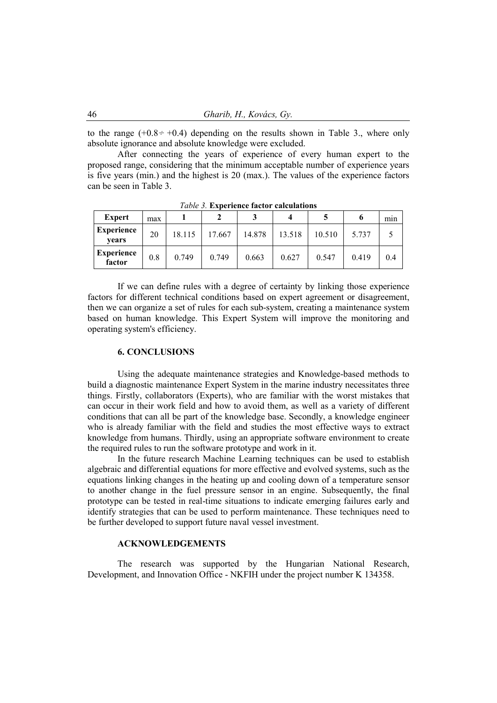to the range  $(+0.8 \div +0.4)$  depending on the results shown in Table 3., where only absolute ignorance and absolute knowledge were excluded.

After connecting the years of experience of every human expert to the proposed range, considering that the minimum acceptable number of experience years is five years (min.) and the highest is 20 (max.). The values of the experience factors can be seen in Table 3.

| <b>Expert</b>               | max |        |        |        |        |        | o     | mın |  |
|-----------------------------|-----|--------|--------|--------|--------|--------|-------|-----|--|
| <b>Experience</b><br>vears  | 20  | 18.115 | 17.667 | 14.878 | 13.518 | 10.510 | 5.737 |     |  |
| <b>Experience</b><br>factor | 0.8 | 0.749  | 0.749  | 0.663  | 0.627  | 0.547  | 0.419 | 0.4 |  |

*Table 3.* **Experience factor calculations**

If we can define rules with a degree of certainty by linking those experience factors for different technical conditions based on expert agreement or disagreement, then we can organize a set of rules for each sub-system, creating a maintenance system based on human knowledge. This Expert System will improve the monitoring and operating system's efficiency.

### **6. CONCLUSIONS**

Using the adequate maintenance strategies and Knowledge-based methods to build a diagnostic maintenance Expert System in the marine industry necessitates three things. Firstly, collaborators (Experts), who are familiar with the worst mistakes that can occur in their work field and how to avoid them, as well as a variety of different conditions that can all be part of the knowledge base. Secondly, a knowledge engineer who is already familiar with the field and studies the most effective ways to extract knowledge from humans. Thirdly, using an appropriate software environment to create the required rules to run the software prototype and work in it.

In the future research Machine Learning techniques can be used to establish algebraic and differential equations for more effective and evolved systems, such as the equations linking changes in the heating up and cooling down of a temperature sensor to another change in the fuel pressure sensor in an engine. Subsequently, the final prototype can be tested in real-time situations to indicate emerging failures early and identify strategies that can be used to perform maintenance. These techniques need to be further developed to support future naval vessel investment.

### **ACKNOWLEDGEMENTS**

The research was supported by the Hungarian National Research, Development, and Innovation Office - NKFIH under the project number K 134358.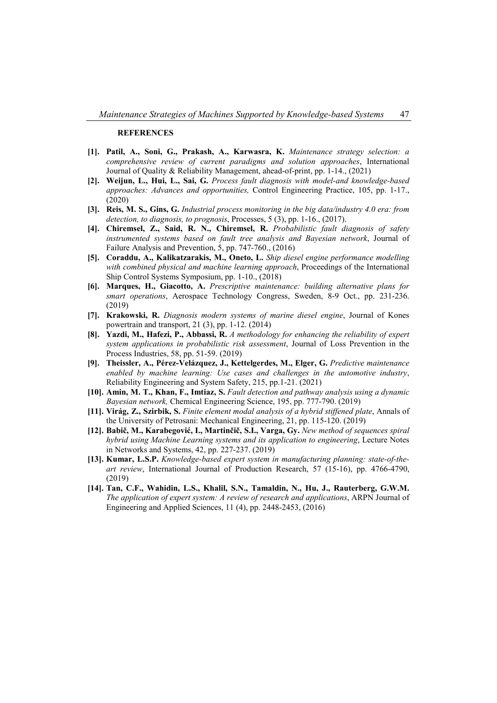#### **REFERENCES**

- **[1]. Patil, A., Soni, G., Prakash, A., Karwasra, K.** *Maintenance strategy selection: a comprehensive review of current paradigms and solution approaches*, International Journal of Quality & Reliability Management, ahead-of-print, pp. 1-14., (2021)
- **[2]. Weijun, L., Hui, L., Sai, G.** *Process fault diagnosis with model-and knowledge-based approaches: Advances and opportunities,* Control Engineering Practice, 105, pp. 1-17., (2020)
- **[3]. Reis, M. S., Gins, G.** *Industrial process monitoring in the big data/industry 4.0 era: from detection, to diagnosis, to prognosis*, Processes, 5 (3), pp. 1-16., (2017).
- **[4]. Chiremsel, Z., Said, R. N., Chiremsel, R.** *Probabilistic fault diagnosis of safety instrumented systems based on fault tree analysis and Bayesian network*, Journal of Failure Analysis and Prevention, 5, pp. 747-760., (2016)
- **[5]. Coraddu, A., Kalikatzarakis, M., Oneto, L.** *Ship diesel engine performance modelling with combined physical and machine learning approach*, Proceedings of the International Ship Control Systems Symposium, pp. 1-10., (2018)
- **[6]. Marques, H., Giacotto, A.** *Prescriptive maintenance: building alternative plans for smart operations*, Aerospace Technology Congress, Sweden, 8-9 Oct., pp. 231-236. (2019)
- **[7]. Krakowski, R.** *Diagnosis modern systems of marine diesel engine*, Journal of Kones powertrain and transport, 21 (3), pp. 1-12. (2014)
- **[8]. Yazdi, M., Hafezi, P., Abbassi, R.** *A methodology for enhancing the reliability of expert system applications in probabilistic risk assessment*, Journal of Loss Prevention in the Process Industries, 58, pp. 51-59. (2019)
- **[9]. Theissler, A., Pérez-Velázquez, J., Kettelgerdes, M., Elger, G.** *Predictive maintenance enabled by machine learning: Use cases and challenges in the automotive industry*, Reliability Engineering and System Safety, 215, pp.1-21. (2021)
- **[10]. Amin, M. T., Khan, F., Imtiaz, S.** *Fault detection and pathway analysis using a dynamic Bayesian network,* Chemical Engineering Science, 195, pp. 777-790. (2019)
- **[11]. [Virág,](https://m2.mtmt.hu/gui2/?type=authors&mode=browse&sel=10013458) Z., [Szirbik,](https://m2.mtmt.hu/gui2/?type=authors&mode=browse&sel=10011902) S.** *[Finite element modal analysis of a hybrid stiffened plate](https://m2.mtmt.hu/gui2/?mode=browse¶ms=publication;31133127)*, Annals of the University of Petrosani: Mechanical Engineering, 21, pp. 115-120. (2019)
- **[12]. Babič, M., Karabegović, I., Martinčič, S.I., [Varga, Gy.](https://m2.mtmt.hu/gui2/?type=authors&mode=browse&sel=10003116)** *[New method of sequences spiral](https://m2.mtmt.hu/gui2/?mode=browse¶ms=publication;30353866)  [hybrid using Machine Learning systems and its application to engineering](https://m2.mtmt.hu/gui2/?mode=browse¶ms=publication;30353866)*, Lecture Notes in Networks and Systems, 42, pp. 227-237. (2019)
- **[13]. Kumar, L.S.P.** *Knowledge-based expert system in manufacturing planning: state-of-theart review*, International Journal of Production Research, 57 (15-16), pp. 4766-4790, (2019)
- **[14]. Tan, C.F., Wahidin, L.S., Khalil, S.N., Tamaldin, N., Hu, J., Rauterberg, G.W.M.** *The application of expert system: A review of research and applications*, ARPN Journal of Engineering and Applied Sciences, 11 (4), pp. 2448-2453, (2016)